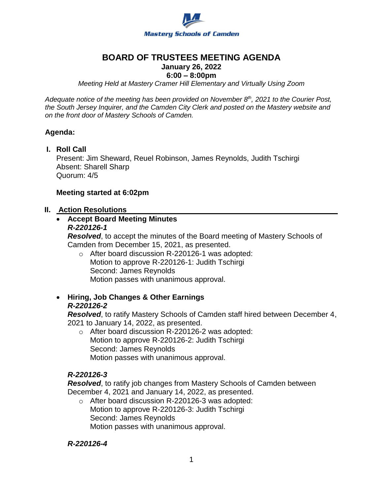

# **BOARD OF TRUSTEES MEETING AGENDA**

# **January 26, 2022**

# **6:00 – 8:00pm**

*Meeting Held at Mastery Cramer Hill Elementary and Virtually Using Zoom*

*Adequate notice of the meeting has been provided on November 8th, 2021 to the Courier Post, the South Jersey Inquirer, and the Camden City Clerk and posted on the Mastery website and on the front door of Mastery Schools of Camden.*

## **Agenda:**

**I. Roll Call**

Present: Jim Sheward, Reuel Robinson, James Reynolds, Judith Tschirgi Absent: Sharell Sharp Quorum: 4/5

# **Meeting started at 6:02pm**

## **II. Action Resolutions**

#### **Accept Board Meeting Minutes** *R-220126-1*

*Resolved*, to accept the minutes of the Board meeting of Mastery Schools of Camden from December 15, 2021, as presented.

- o After board discussion R-220126-1 was adopted: Motion to approve R-220126-1: Judith Tschirgi Second: James Reynolds Motion passes with unanimous approval.
- **Hiring, Job Changes & Other Earnings**  *R-220126-2*

*Resolved*, to ratify Mastery Schools of Camden staff hired between December 4, 2021 to January 14, 2022, as presented.

o After board discussion R-220126-2 was adopted: Motion to approve R-220126-2: Judith Tschirgi Second: James Reynolds Motion passes with unanimous approval.

# *R-220126-3*

*Resolved*, to ratify job changes from Mastery Schools of Camden between December 4, 2021 and January 14, 2022, as presented.

o After board discussion R-220126-3 was adopted: Motion to approve R-220126-3: Judith Tschirgi Second: James Reynolds Motion passes with unanimous approval.

## *R-220126-4*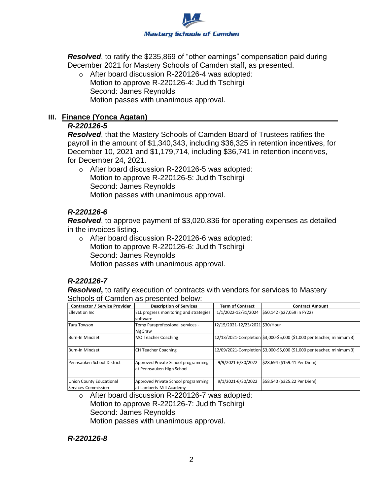

*Resolved*, to ratify the \$235,869 of "other earnings" compensation paid during December 2021 for Mastery Schools of Camden staff, as presented.

o After board discussion R-220126-4 was adopted: Motion to approve R-220126-4: Judith Tschirgi Second: James Reynolds Motion passes with unanimous approval.

#### **III. Finance (Yonca Agatan)**

#### *R-220126-5*

*Resolved*, that the Mastery Schools of Camden Board of Trustees ratifies the payroll in the amount of \$1,340,343, including \$36,325 in retention incentives, for December 10, 2021 and \$1,179,714, including \$36,741 in retention incentives, for December 24, 2021.

o After board discussion R-220126-5 was adopted: Motion to approve R-220126-5: Judith Tschirgi Second: James Reynolds Motion passes with unanimous approval.

# *R-220126-6*

*Resolved*, to approve payment of \$3,020,836 for operating expenses as detailed in the invoices listing.

o After board discussion R-220126-6 was adopted: Motion to approve R-220126-6: Judith Tschirgi Second: James Reynolds Motion passes with unanimous approval.

# *R-220126-7*

*Resolved*, to ratify execution of contracts with vendors for services to Mastery Schools of Camden as presented below:

| <b>Contractor / Service Provider</b> | <b>Description of Services</b>         | <b>Term of Contract</b>         | <b>Contract Amount</b>                                                 |
|--------------------------------------|----------------------------------------|---------------------------------|------------------------------------------------------------------------|
| <b>Ellevation Inc.</b>               | ELL progress monitoring and strategies | 1/1/2022-12/31/2024             | \$50,142 (\$27,059 in FY22)                                            |
|                                      | Isoftware                              |                                 |                                                                        |
| Tara Towson                          | Temp Paraprofessional services -       | 12/15/2021-12/23/2021 \$30/Hour |                                                                        |
|                                      | MgGraw                                 |                                 |                                                                        |
| Burn-In Mindset                      | MO Teacher Coaching                    |                                 | 12/13/2021-Completion \$3,000-\$5,000 (\$1,000 per teacher, minimum 3) |
|                                      |                                        |                                 |                                                                        |
| Burn-In Mindset                      | <b>CH Teacher Coaching</b>             |                                 | 12/09/2021-Completion \$3,000-\$5,000 (\$1,000 per teacher, minimum 3) |
| <b>IPennsauken School District</b>   | Approved Private School programming    | 9/9/2021-6/30/2022              | \$28,694 (\$159.41 Per Diem)                                           |
|                                      | at Pennsauken High School              |                                 |                                                                        |
|                                      |                                        |                                 |                                                                        |
| Union County Educational             | Approved Private School programming    | 9/1/2021-6/30/2022              | \$58,540 (\$325.22 Per Diem)                                           |
| Services Commission                  | at Lamberts Mill Academy               |                                 |                                                                        |

o After board discussion R-220126-7 was adopted: Motion to approve R-220126-7: Judith Tschirgi Second: James Reynolds Motion passes with unanimous approval.

## *R-220126-8*